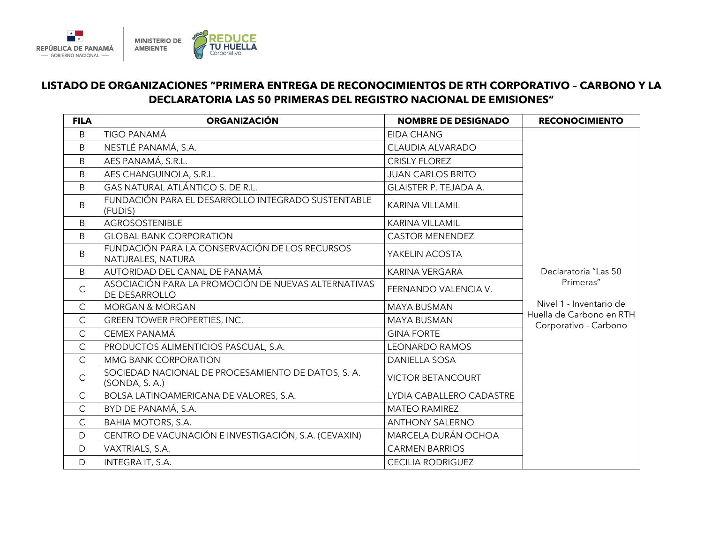

## **LISTADO DE ORGANIZACIONES "PRIMERA ENTREGA DE RECONOCIMIENTOS DE RTH CORPORATIVO – CARBONO Y LA DECLARATORIA LAS 50 PRIMERAS DEL REGISTRO NACIONAL DE EMISIONES"**

| <b>FILA</b>  | <b>ORGANIZACIÓN</b>                                                  | <b>NOMBRE DE DESIGNADO</b> | <b>RECONOCIMIENTO</b>                             |
|--------------|----------------------------------------------------------------------|----------------------------|---------------------------------------------------|
| B            | TIGO PANAMÁ                                                          | <b>EIDA CHANG</b>          |                                                   |
| B            | NESTLÉ PANAMÁ, S.A.                                                  | <b>CLAUDIA ALVARADO</b>    |                                                   |
| B            | AES PANAMÁ, S.R.L.                                                   | <b>CRISLY FLOREZ</b>       |                                                   |
| B            | AES CHANGUINOLA, S.R.L.                                              | <b>JUAN CARLOS BRITO</b>   |                                                   |
| <sub>B</sub> | GAS NATURAL ATLÁNTICO S. DE R.L.                                     | GLAISTER P. TEJADA A.      |                                                   |
| B            | FUNDACIÓN PARA EL DESARROLLO INTEGRADO SUSTENTABLE<br>(FUDIS)        | <b>KARINA VILLAMIL</b>     |                                                   |
| B            | <b>AGROSOSTENIBLE</b>                                                | <b>KARINA VILLAMIL</b>     |                                                   |
| <sub>B</sub> | <b>GLOBAL BANK CORPORATION</b>                                       | <b>CASTOR MENENDEZ</b>     |                                                   |
| B            | FUNDACIÓN PARA LA CONSERVACIÓN DE LOS RECURSOS<br>NATURALES, NATURA  | YAKELIN ACOSTA             |                                                   |
| B            | AUTORIDAD DEL CANAL DE PANAMÁ                                        | <b>KARINA VERGARA</b>      | Declaratoria "Las 50                              |
| $\mathsf{C}$ | ASOCIACIÓN PARA LA PROMOCIÓN DE NUEVAS ALTERNATIVAS<br>DE DESARROLLO | FERNANDO VALENCIA V.       | Primeras"                                         |
| $\mathsf{C}$ | <b>MORGAN &amp; MORGAN</b>                                           | <b>MAYA BUSMAN</b>         | Nivel 1 - Inventario de                           |
| $\mathsf{C}$ | GREEN TOWER PROPERTIES, INC.                                         | <b>MAYA BUSMAN</b>         | Huella de Carbono en RTH<br>Corporativo - Carbono |
| $\mathsf{C}$ | CEMEX PANAMÁ                                                         | <b>GINA FORTE</b>          |                                                   |
| $\mathsf{C}$ | PRODUCTOS ALIMENTICIOS PASCUAL, S.A.                                 | <b>LEONARDO RAMOS</b>      |                                                   |
| $\mathsf{C}$ | <b>MMG BANK CORPORATION</b>                                          | <b>DANIELLA SOSA</b>       |                                                   |
| $\mathsf C$  | SOCIEDAD NACIONAL DE PROCESAMIENTO DE DATOS, S.A.<br>(SONDA, S.A.)   | <b>VICTOR BETANCOURT</b>   |                                                   |
| $\mathsf{C}$ | BOLSA LATINOAMERICANA DE VALORES, S.A.                               | LYDIA CABALLERO CADASTRE   |                                                   |
| $\mathsf{C}$ | BYD DE PANAMÁ, S.A.                                                  | <b>MATEO RAMIREZ</b>       |                                                   |
| $\mathsf{C}$ | <b>BAHIA MOTORS, S.A.</b>                                            | <b>ANTHONY SALERNO</b>     |                                                   |
| D            | CENTRO DE VACUNACIÓN E INVESTIGACIÓN, S.A. (CEVAXIN)                 | MARCELA DURÁN OCHOA        |                                                   |
| D            | VAXTRIALS, S.A.                                                      | <b>CARMEN BARRIOS</b>      |                                                   |
| D            | INTEGRA IT, S.A.                                                     | <b>CECILIA RODRIGUEZ</b>   |                                                   |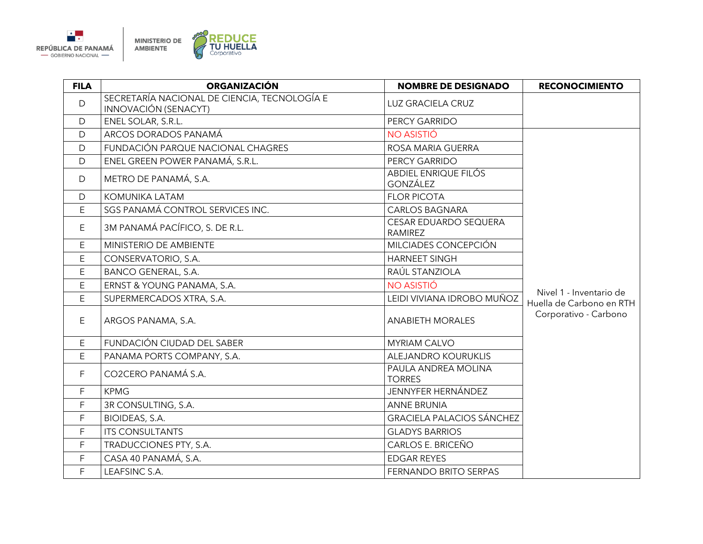

| <b>FILA</b> | <b>ORGANIZACIÓN</b>                                                  | <b>NOMBRE DE DESIGNADO</b>              | <b>RECONOCIMIENTO</b>                               |
|-------------|----------------------------------------------------------------------|-----------------------------------------|-----------------------------------------------------|
| D           | SECRETARÍA NACIONAL DE CIENCIA, TECNOLOGÍA E<br>INNOVACIÓN (SENACYT) | LUZ GRACIELA CRUZ                       |                                                     |
| D           | ENEL SOLAR, S.R.L.                                                   | PERCY GARRIDO                           |                                                     |
| D           | ARCOS DORADOS PANAMÁ                                                 | NO ASISTIÓ                              |                                                     |
| D           | FUNDACIÓN PARQUE NACIONAL CHAGRES                                    | ROSA MARIA GUERRA                       |                                                     |
| D           | ENEL GREEN POWER PANAMÁ, S.R.L.                                      | PERCY GARRIDO                           |                                                     |
| D           | METRO DE PANAMÁ, S.A.                                                | ABDIEL ENRIQUE FILÓS<br><b>GONZÁLEZ</b> |                                                     |
| D           | KOMUNIKA LATAM                                                       | <b>FLOR PICOTA</b>                      |                                                     |
| E           | SGS PANAMÁ CONTROL SERVICES INC.                                     | <b>CARLOS BAGNARA</b>                   |                                                     |
| E           | 3M PANAMÁ PACÍFICO, S. DE R.L.                                       | CESAR EDUARDO SEQUERA<br><b>RAMIREZ</b> |                                                     |
| E           | MINISTERIO DE AMBIENTE                                               | MILCIADES CONCEPCIÓN                    |                                                     |
| E           | CONSERVATORIO, S.A.                                                  | <b>HARNEET SINGH</b>                    |                                                     |
| E           | <b>BANCO GENERAL, S.A.</b>                                           | RAÚL STANZIOLA                          |                                                     |
| E           | ERNST & YOUNG PANAMA, S.A.                                           | NO ASISTIÓ                              |                                                     |
| E           | SUPERMERCADOS XTRA, S.A.                                             | LEIDI VIVIANA IDROBO MUÑOZ              | Nivel 1 - Inventario de<br>Huella de Carbono en RTH |
| E           | ARGOS PANAMA, S.A.                                                   | <b>ANABIETH MORALES</b>                 | Corporativo - Carbono                               |
| E           | FUNDACIÓN CIUDAD DEL SABER                                           | <b>MYRIAM CALVO</b>                     |                                                     |
| E           | PANAMA PORTS COMPANY, S.A.                                           | ALEJANDRO KOURUKLIS                     |                                                     |
| F           | CO2CERO PANAMÁ S.A.                                                  | PAULA ANDREA MOLINA<br><b>TORRES</b>    |                                                     |
| F           | <b>KPMG</b>                                                          | <b>JENNYFER HERNÁNDEZ</b>               |                                                     |
| F           | 3R CONSULTING, S.A.                                                  | <b>ANNE BRUNIA</b>                      |                                                     |
| F           | BIOIDEAS, S.A.                                                       | <b>GRACIELA PALACIOS SÁNCHEZ</b>        |                                                     |
| F.          | <b>ITS CONSULTANTS</b>                                               | <b>GLADYS BARRIOS</b>                   |                                                     |
| F           | TRADUCCIONES PTY, S.A.                                               | CARLOS E. BRICEÑO                       |                                                     |
| F           | CASA 40 PANAMÁ, S.A.                                                 | <b>EDGAR REYES</b>                      |                                                     |
| F           | LEAFSINC S.A.                                                        | FERNANDO BRITO SERPAS                   |                                                     |